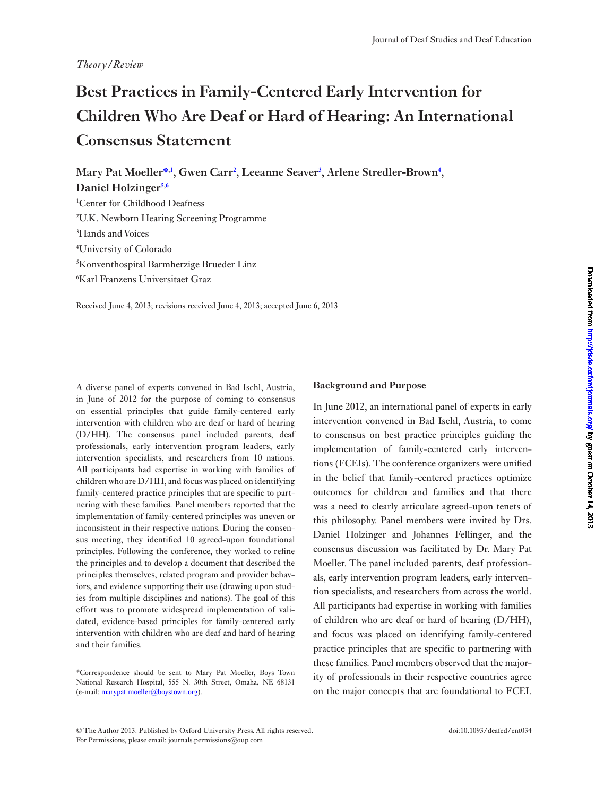# **Best Practices in Family-Centered Early Intervention for Children Who Are Deaf or Hard of Hearing: An International Consensus Statement**

**Mary Pat Moelle[r\\*,](#page-0-0)[1](#page-0-1) , Gwen Car[r2](#page-0-2) , Leeanne Seave[r3](#page-0-3) , Arlene Stredler-Brown[4](#page-0-4) , Daniel Holzinge[r5](#page-0-5),[6](#page-0-6)**

<span id="page-0-4"></span><span id="page-0-3"></span><span id="page-0-2"></span><span id="page-0-1"></span><sup>1</sup>Center for Childhood Deafness U.K. Newborn Hearing Screening Programme Hands and Voices University of Colorado Konventhospital Barmherzige Brueder Linz Karl Franzens Universitaet Graz

<span id="page-0-6"></span><span id="page-0-5"></span>Received June 4, 2013; revisions received June 4, 2013; accepted June 6, 2013

A diverse panel of experts convened in Bad Ischl, Austria, in June of 2012 for the purpose of coming to consensus on essential principles that guide family-centered early intervention with children who are deaf or hard of hearing (D/HH). The consensus panel included parents, deaf professionals, early intervention program leaders, early intervention specialists, and researchers from 10 nations. All participants had expertise in working with families of children who are D/HH, and focus was placed on identifying family-centered practice principles that are specific to partnering with these families. Panel members reported that the implementation of family-centered principles was uneven or inconsistent in their respective nations. During the consensus meeting, they identified 10 agreed-upon foundational principles. Following the conference, they worked to refine the principles and to develop a document that described the principles themselves, related program and provider behaviors, and evidence supporting their use (drawing upon studies from multiple disciplines and nations). The goal of this effort was to promote widespread implementation of validated, evidence-based principles for family-centered early intervention with children who are deaf and hard of hearing and their families.

## **Background and Purpose**

In June 2012, an international panel of experts in early intervention convened in Bad Ischl, Austria, to come to consensus on best practice principles guiding the implementation of family-centered early interventions (FCEIs). The conference organizers were unified in the belief that family-centered practices optimize outcomes for children and families and that there was a need to clearly articulate agreed-upon tenets of this philosophy. Panel members were invited by Drs. Daniel Holzinger and Johannes Fellinger, and the consensus discussion was facilitated by Dr. Mary Pat Moeller. The panel included parents, deaf professionals, early intervention program leaders, early intervention specialists, and researchers from across the world. All participants had expertise in working with families of children who are deaf or hard of hearing (D/HH), and focus was placed on identifying family-centered practice principles that are specific to partnering with these families. Panel members observed that the majority of professionals in their respective countries agree on the major concepts that are foundational to FCEI.

<span id="page-0-0"></span><sup>\*</sup>Correspondence should be sent to Mary Pat Moeller, Boys Town National Research Hospital, 555 N. 30th Street, Omaha, NE 68131 (e-mail: [marypat.moeller@boystown.org\)](mailto:marypat.moeller@boystown.org).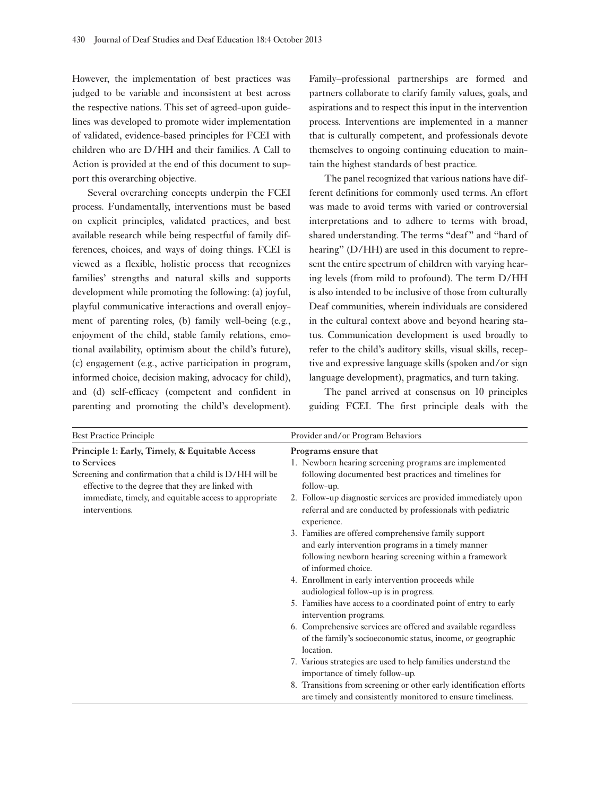However, the implementation of best practices was judged to be variable and inconsistent at best across the respective nations. This set of agreed-upon guidelines was developed to promote wider implementation of validated, evidence-based principles for FCEI with children who are D/HH and their families. A Call to Action is provided at the end of this document to support this overarching objective.

Several overarching concepts underpin the FCEI process. Fundamentally, interventions must be based on explicit principles, validated practices, and best available research while being respectful of family differences, choices, and ways of doing things. FCEI is viewed as a flexible, holistic process that recognizes families' strengths and natural skills and supports development while promoting the following: (a) joyful, playful communicative interactions and overall enjoyment of parenting roles, (b) family well-being (e.g., enjoyment of the child, stable family relations, emotional availability, optimism about the child's future), (c) engagement (e.g., active participation in program, informed choice, decision making, advocacy for child), and (d) self-efficacy (competent and confident in parenting and promoting the child's development).

Family–professional partnerships are formed and partners collaborate to clarify family values, goals, and aspirations and to respect this input in the intervention process. Interventions are implemented in a manner that is culturally competent, and professionals devote themselves to ongoing continuing education to maintain the highest standards of best practice.

The panel recognized that various nations have different definitions for commonly used terms. An effort was made to avoid terms with varied or controversial interpretations and to adhere to terms with broad, shared understanding. The terms "deaf" and "hard of hearing" (D/HH) are used in this document to represent the entire spectrum of children with varying hearing levels (from mild to profound). The term D/HH is also intended to be inclusive of those from culturally Deaf communities, wherein individuals are considered in the cultural context above and beyond hearing status. Communication development is used broadly to refer to the child's auditory skills, visual skills, receptive and expressive language skills (spoken and/or sign language development), pragmatics, and turn taking.

The panel arrived at consensus on 10 principles guiding FCEI. The first principle deals with the

| <b>Best Practice Principle</b>                                                                               | Provider and/or Program Behaviors                                                                                                                                                           |  |
|--------------------------------------------------------------------------------------------------------------|---------------------------------------------------------------------------------------------------------------------------------------------------------------------------------------------|--|
| Principle 1: Early, Timely, & Equitable Access                                                               | Programs ensure that                                                                                                                                                                        |  |
| to Services                                                                                                  | 1. Newborn hearing screening programs are implemented                                                                                                                                       |  |
| Screening and confirmation that a child is D/HH will be<br>effective to the degree that they are linked with | following documented best practices and timelines for<br>follow-up.                                                                                                                         |  |
| immediate, timely, and equitable access to appropriate<br>interventions.                                     | 2. Follow-up diagnostic services are provided immediately upon<br>referral and are conducted by professionals with pediatric<br>experience.                                                 |  |
|                                                                                                              | 3. Families are offered comprehensive family support<br>and early intervention programs in a timely manner<br>following newborn hearing screening within a framework<br>of informed choice. |  |
|                                                                                                              | 4. Enrollment in early intervention proceeds while<br>audiological follow-up is in progress.                                                                                                |  |
|                                                                                                              | 5. Families have access to a coordinated point of entry to early<br>intervention programs.                                                                                                  |  |
|                                                                                                              | 6. Comprehensive services are offered and available regardless<br>of the family's socioeconomic status, income, or geographic<br>location.                                                  |  |
|                                                                                                              | 7. Various strategies are used to help families understand the<br>importance of timely follow-up.                                                                                           |  |
|                                                                                                              | 8. Transitions from screening or other early identification efforts<br>are timely and consistently monitored to ensure timeliness.                                                          |  |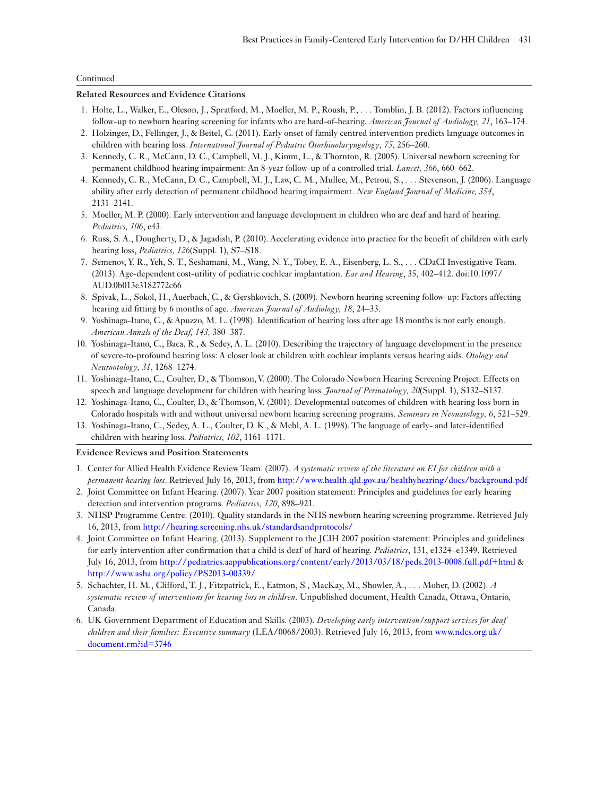## **Related Resources and Evidence Citations**

- 1. Holte, L., Walker, E., Oleson, J., Spratford, M., Moeller, M. P., Roush, P., . . . Tomblin, J. B. (2012). Factors influencing follow-up to newborn hearing screening for infants who are hard-of-hearing. *American Journal of Audiology, 21*, 163–174.
- 2. Holzinger, D., Fellinger, J., & Beitel, C. (2011). Early onset of family centred intervention predicts language outcomes in children with hearing loss. *International Journal of Pediatric Otorhinolaryngology*, *75*, 256–260.
- 3. Kennedy, C. R., McCann, D. C., Campbell, M. J., Kimm, L., & Thornton, R. (2005). Universal newborn screening for permanent childhood hearing impairment: An 8-year follow-up of a controlled trial. *Lancet, 366*, 660–662.
- 4. Kennedy, C. R., McCann, D. C., Campbell, M. J., Law, C. M., Mullee, M., Petrou, S., . . . Stevenson, J. (2006). Language ability after early detection of permanent childhood hearing impairment. *New England Journal of Medicine, 354*, 2131–2141.
- 5. Moeller, M. P. (2000). Early intervention and language development in children who are deaf and hard of hearing. *Pediatrics, 106*, e43.
- 6. Russ, S. A., Dougherty, D., & Jagadish, P. (2010). Accelerating evidence into practice for the benefit of children with early hearing loss, *Pediatrics, 126*(Suppl. 1), S7–S18.
- 7. Semenov, Y. R., Yeh, S. T., Seshamani, M., Wang, N.Y., Tobey, E. A., Eisenberg, L. S., . . . CDaCI Investigative Team. (2013). Age-dependent cost-utility of pediatric cochlear implantation. *Ear and Hearing*, 35, 402–412. doi:10.1097/ AUD.0b013e3182772c66
- 8. Spivak, L., Sokol, H., Auerbach, C., & Gershkovich, S. (2009). Newborn hearing screening follow-up: Factors affecting hearing aid fitting by 6 months of age. *American Journal of Audiology, 18*, 24–33.
- 9. Yoshinaga-Itano, C., & Apuzzo, M. L. (1998). Identification of hearing loss after age 18 months is not early enough. *American Annals of the Deaf, 143,* 380–387.
- 10. Yoshinaga-Itano, C., Baca, R., & Sedey, A. L. (2010). Describing the trajectory of language development in the presence of severe-to-profound hearing loss: A closer look at children with cochlear implants versus hearing aids. *Otology and Neurootology, 31*, 1268–1274.
- 11. Yoshinaga-Itano, C., Coulter, D., & Thomson, V. (2000). The Colorado Newborn Hearing Screening Project: Effects on speech and language development for children with hearing loss. *Journal of Perinatology, 20*(Suppl. 1), S132–S137.
- 12. Yoshinaga-Itano, C., Coulter, D., & Thomson, V. (2001). Developmental outcomes of children with hearing loss born in Colorado hospitals with and without universal newborn hearing screening programs. *Seminars in Neonatology, 6*, 521–529.
- 13. Yoshinaga-Itano, C., Sedey, A. L., Coulter, D. K., & Mehl, A. L. (1998). The language of early- and later-identified children with hearing loss. *Pediatrics, 102*, 1161–1171.

## **Evidence Reviews and Position Statements**

- 1. Center for Allied Health Evidence Review Team. (2007). *A systematic review of the literature on EI for children with a permanent hearing loss*. Retrieved July 16, 2013, from <http://www.health.qld.gov.au/healthyhearing/docs/background.pdf>
- 2. Joint Committee on Infant Hearing. (2007). Year 2007 position statement: Principles and guidelines for early hearing detection and intervention programs. *Pediatrics, 120*, 898–921.
- 3. NHSP Programme Centre. (2010). Quality standards in the NHS newborn hearing screening programme. Retrieved July 16, 2013, from <http://hearing.screening.nhs.uk/standardsandprotocols/>
- 4. Joint Committee on Infant Hearing. (2013). Supplement to the JCIH 2007 position statement: Principles and guidelines for early intervention after confirmation that a child is deaf of hard of hearing. *Pediatrics*, 131, e1324–e1349. Retrieved July 16, 2013, from<http://pediatrics.aappublications.org/content/early/2013/03/18/peds.2013-0008.full.pdf+html> & <http://www.asha.org/policy/PS2013-00339/>
- 5. Schachter, H. M., Clifford, T. J., Fitzpatrick, E., Eatmon, S., MacKay, M., Showler, A., . . . Moher, D. (2002). *A systematic review of interventions for hearing loss in children*. Unpublished document, Health Canada, Ottawa, Ontario, Canada.
- 6. UK Government Department of Education and Skills. (2003). *Developing early intervention/support services for deaf children and their families: Executive summary* (LEA/0068/2003). Retrieved July 16, 2013, from [www.ndcs.org.uk/](http://www.ndcs.org.uk/document.rm?id=3746) [document.rm?id=3746](http://www.ndcs.org.uk/document.rm?id=3746)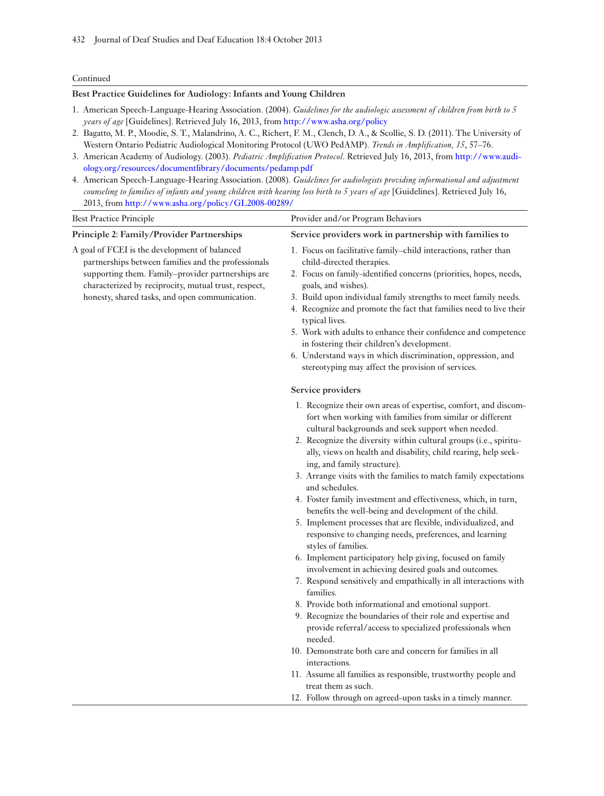## **Best Practice Guidelines for Audiology: Infants and Young Children**

- 1. American Speech-Language-Hearing Association. (2004). *Guidelines for the audiologic assessment of children from birth to 5 years of age* [Guidelines]. Retrieved July 16, 2013, from <http://www.asha.org/policy>
- 2. Bagatto, M. P., Moodie, S. T., Malandrino, A. C., Richert, F. M., Clench, D. A., & Scollie, S. D. (2011). The University of Western Ontario Pediatric Audiological Monitoring Protocol (UWO PedAMP). *Trends in Amplification, 15*, 57–76.
- 3. American Academy of Audiology. (2003). *Pediatric Amplification Protocol*. Retrieved July 16, 2013, from [http://www.audi](http://www.audiology.org/resources/documentlibrary/documents/pedamp.pdf)[ology.org/resources/documentlibrary/documents/pedamp.pdf](http://www.audiology.org/resources/documentlibrary/documents/pedamp.pdf)
- 4. American Speech-Language-Hearing Association. (2008). *Guidelines for audiologists providing informational and adjustment counseling to families of infants and young children with hearing loss birth to 5 years of age* [Guidelines]. Retrieved July 16, 2013, from <http://www.asha.org/policy/GL2008-00289/>

| <b>Best Practice Principle</b>                                                                                                                                                                                                                                      | Provider and/or Program Behaviors                                                                                                                                                                                                                                                                                                                                                                                                                                                                                                                                                                                                                                                                                                                                                                                                                                                                                                                                                                                                                                                                                                                                                                                                                                                  |
|---------------------------------------------------------------------------------------------------------------------------------------------------------------------------------------------------------------------------------------------------------------------|------------------------------------------------------------------------------------------------------------------------------------------------------------------------------------------------------------------------------------------------------------------------------------------------------------------------------------------------------------------------------------------------------------------------------------------------------------------------------------------------------------------------------------------------------------------------------------------------------------------------------------------------------------------------------------------------------------------------------------------------------------------------------------------------------------------------------------------------------------------------------------------------------------------------------------------------------------------------------------------------------------------------------------------------------------------------------------------------------------------------------------------------------------------------------------------------------------------------------------------------------------------------------------|
| Principle 2: Family/Provider Partnerships                                                                                                                                                                                                                           | Service providers work in partnership with families to                                                                                                                                                                                                                                                                                                                                                                                                                                                                                                                                                                                                                                                                                                                                                                                                                                                                                                                                                                                                                                                                                                                                                                                                                             |
| A goal of FCEI is the development of balanced<br>partnerships between families and the professionals<br>supporting them. Family-provider partnerships are<br>characterized by reciprocity, mutual trust, respect,<br>honesty, shared tasks, and open communication. | 1. Focus on facilitative family-child interactions, rather than<br>child-directed therapies.<br>2. Focus on family-identified concerns (priorities, hopes, needs,<br>goals, and wishes).<br>3. Build upon individual family strengths to meet family needs.<br>4. Recognize and promote the fact that families need to live their<br>typical lives.<br>5. Work with adults to enhance their confidence and competence<br>in fostering their children's development.<br>6. Understand ways in which discrimination, oppression, and<br>stereotyping may affect the provision of services.                                                                                                                                                                                                                                                                                                                                                                                                                                                                                                                                                                                                                                                                                           |
|                                                                                                                                                                                                                                                                     | Service providers                                                                                                                                                                                                                                                                                                                                                                                                                                                                                                                                                                                                                                                                                                                                                                                                                                                                                                                                                                                                                                                                                                                                                                                                                                                                  |
|                                                                                                                                                                                                                                                                     | 1. Recognize their own areas of expertise, comfort, and discom-<br>fort when working with families from similar or different<br>cultural backgrounds and seek support when needed.<br>2. Recognize the diversity within cultural groups (i.e., spiritu-<br>ally, views on health and disability, child rearing, help seek-<br>ing, and family structure).<br>3. Arrange visits with the families to match family expectations<br>and schedules.<br>4. Foster family investment and effectiveness, which, in turn,<br>benefits the well-being and development of the child.<br>5. Implement processes that are flexible, individualized, and<br>responsive to changing needs, preferences, and learning<br>styles of families.<br>6. Implement participatory help giving, focused on family<br>involvement in achieving desired goals and outcomes.<br>7. Respond sensitively and empathically in all interactions with<br>families.<br>8. Provide both informational and emotional support.<br>9. Recognize the boundaries of their role and expertise and<br>provide referral/access to specialized professionals when<br>needed.<br>10. Demonstrate both care and concern for families in all<br>interactions.<br>11. Assume all families as responsible, trustworthy people and |
|                                                                                                                                                                                                                                                                     | treat them as such.<br>12. Follow through on agreed-upon tasks in a timely manner.                                                                                                                                                                                                                                                                                                                                                                                                                                                                                                                                                                                                                                                                                                                                                                                                                                                                                                                                                                                                                                                                                                                                                                                                 |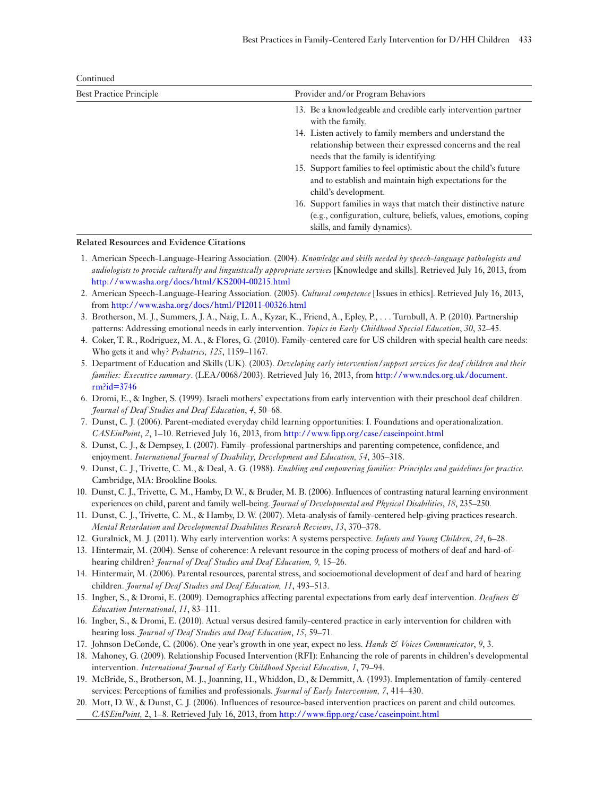| <b>Best Practice Principle</b> | Provider and/or Program Behaviors                                                                                                                                     |
|--------------------------------|-----------------------------------------------------------------------------------------------------------------------------------------------------------------------|
|                                | 13. Be a knowledgeable and credible early intervention partner<br>with the family.                                                                                    |
|                                | 14. Listen actively to family members and understand the<br>relationship between their expressed concerns and the real<br>needs that the family is identifying.       |
|                                | 15. Support families to feel optimistic about the child's future<br>and to establish and maintain high expectations for the<br>child's development.                   |
|                                | 16. Support families in ways that match their distinctive nature<br>(e.g., configuration, culture, beliefs, values, emotions, coping<br>skills, and family dynamics). |

- 1. American Speech-Language-Hearing Association. (2004). *Knowledge and skills needed by speech-language pathologists and audiologists to provide culturally and linguistically appropriate services* [Knowledge and skills]. Retrieved July 16, 2013, from <http://www.asha.org/docs/html/KS2004-00215.html>
- 2. American Speech-Language-Hearing Association. (2005). *Cultural competence* [Issues in ethics]. Retrieved July 16, 2013, from<http://www.asha.org/docs/html/PI2011-00326.html>
- 3. Brotherson, M. J., Summers, J. A., Naig, L. A., Kyzar, K., Friend, A., Epley, P., . . . Turnbull, A. P. (2010). Partnership patterns: Addressing emotional needs in early intervention. *Topics in Early Childhood Special Education*, *30*, 32–45.
- 4. Coker, T. R., Rodriguez, M. A., & Flores, G. (2010). Family-centered care for US children with special health care needs: Who gets it and why? *Pediatrics, 125*, 1159–1167.
- 5. Department of Education and Skills (UK). (2003). *Developing early intervention/support services for deaf children and their families: Executive summary*. (LEA/0068/2003). Retrieved July 16, 2013, from [http://www.ndcs.org.uk/document.](http://www.ndcs.org.uk/document.rm?id=3746) [rm?id=3746](http://www.ndcs.org.uk/document.rm?id=3746)
- 6. Dromi, E., & Ingber, S. (1999). Israeli mothers' expectations from early intervention with their preschool deaf children. *Journal of Deaf Studies and Deaf Education*, *4*, 50–68.
- 7. Dunst, C. J. (2006). Parent-mediated everyday child learning opportunities: I. Foundations and operationalization. *CASEinPoint*, *2*, 1–10. Retrieved July 16, 2013, from<http://www.fipp.org/case/caseinpoint.html>
- 8. Dunst, C. J., & Dempsey, I. (2007). Family–professional partnerships and parenting competence, confidence, and enjoyment. *International Journal of Disability, Development and Education, 54*, 305–318.
- 9. Dunst, C. J., Trivette, C. M., & Deal, A. G. (1988). *Enabling and empowering families: Principles and guidelines for practice.* Cambridge, MA: Brookline Books.
- 10. Dunst, C. J., Trivette, C. M., Hamby, D. W., & Bruder, M. B. (2006). Influences of contrasting natural learning environment experiences on child, parent and family well-being. *Journal of Developmental and Physical Disabilities*, *18*, 235–250.
- 11. Dunst, C. J., Trivette, C. M., & Hamby, D. W. (2007). Meta-analysis of family-centered help-giving practices research. *Mental Retardation and Developmental Disabilities Research Reviews*, *13*, 370–378.
- 12. Guralnick, M. J. (2011). Why early intervention works: A systems perspective. *Infants and Young Children*, *24*, 6–28.
- 13. Hintermair, M. (2004). Sense of coherence: A relevant resource in the coping process of mothers of deaf and hard-ofhearing children? *Journal of Deaf Studies and Deaf Education, 9,* 15–26.
- 14. Hintermair, M. (2006). Parental resources, parental stress, and socioemotional development of deaf and hard of hearing children. *Journal of Deaf Studies and Deaf Education, 11*, 493–513.
- 15. Ingber, S., & Dromi, E. (2009). Demographics affecting parental expectations from early deaf intervention. *Deafness & Education International*, *11*, 83–111.
- 16. Ingber, S., & Dromi, E. (2010). Actual versus desired family-centered practice in early intervention for children with hearing loss. *Journal of Deaf Studies and Deaf Education*, *15*, 59–71.
- 17. Johnson DeConde, C. (2006). One year's growth in one year, expect no less. *Hands & Voices Communicator*, *9*, 3.
- 18. Mahoney, G. (2009). Relationship Focused Intervention (RFI): Enhancing the role of parents in children's developmental intervention. *International Journal of Early Childhood Special Education, 1*, 79–94.
- 19. McBride, S., Brotherson, M. J., Joanning, H., Whiddon, D., & Demmitt, A. (1993). Implementation of family-centered services: Perceptions of families and professionals. *Journal of Early Intervention, 7*, 414–430.
- 20. Mott, D. W., & Dunst, C. J. (2006). Influences of resource-based intervention practices on parent and child outcomes. *CASEinPoint,* 2, 1–8. Retrieved July 16, 2013, from<http://www.fipp.org/case/caseinpoint.html>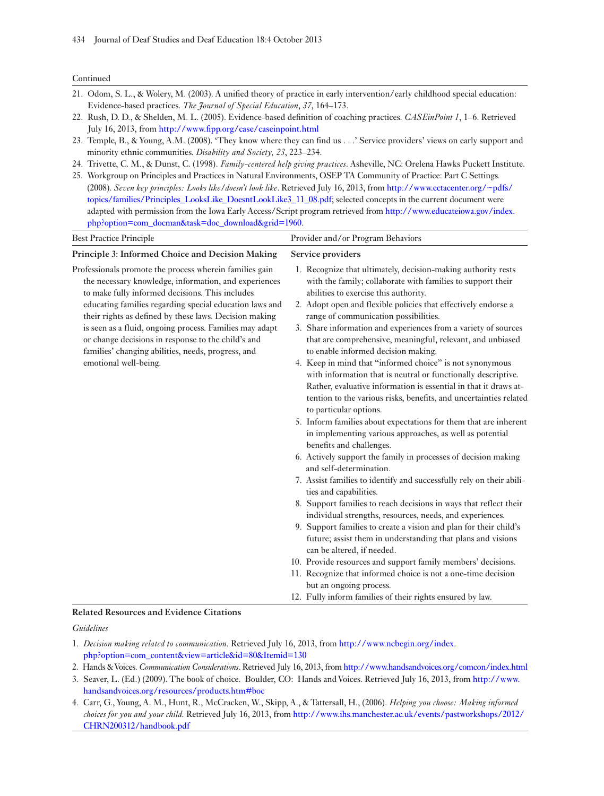| Evidence-based practices. The Journal of Special Education, 37, 164-173.                                                                                                                                                                                                                                                                                                                                                                                                                 | 21. Odom, S. L., & Wolery, M. (2003). A unified theory of practice in early intervention/early childhood special education:                                                                                                                                                                                                                                                                                                                                                                                                                                                                                                                                                                                                                                                                                                                                                                                                                                                                                                                                                                                                                                                                                                                                                                                                                                                                                                                                                                                                                                                                                                                    |
|------------------------------------------------------------------------------------------------------------------------------------------------------------------------------------------------------------------------------------------------------------------------------------------------------------------------------------------------------------------------------------------------------------------------------------------------------------------------------------------|------------------------------------------------------------------------------------------------------------------------------------------------------------------------------------------------------------------------------------------------------------------------------------------------------------------------------------------------------------------------------------------------------------------------------------------------------------------------------------------------------------------------------------------------------------------------------------------------------------------------------------------------------------------------------------------------------------------------------------------------------------------------------------------------------------------------------------------------------------------------------------------------------------------------------------------------------------------------------------------------------------------------------------------------------------------------------------------------------------------------------------------------------------------------------------------------------------------------------------------------------------------------------------------------------------------------------------------------------------------------------------------------------------------------------------------------------------------------------------------------------------------------------------------------------------------------------------------------------------------------------------------------|
| July 16, 2013, from http://www.fipp.org/case/caseinpoint.html                                                                                                                                                                                                                                                                                                                                                                                                                            | 22. Rush, D. D., & Shelden, M. L. (2005). Evidence-based definition of coaching practices. CASEinPoint 1, 1–6. Retrieved                                                                                                                                                                                                                                                                                                                                                                                                                                                                                                                                                                                                                                                                                                                                                                                                                                                                                                                                                                                                                                                                                                                                                                                                                                                                                                                                                                                                                                                                                                                       |
| minority ethnic communities. Disability and Society, 23, 223-234.                                                                                                                                                                                                                                                                                                                                                                                                                        | 23. Temple, B., & Young, A.M. (2008). 'They know where they can find us' Service providers' views on early support and                                                                                                                                                                                                                                                                                                                                                                                                                                                                                                                                                                                                                                                                                                                                                                                                                                                                                                                                                                                                                                                                                                                                                                                                                                                                                                                                                                                                                                                                                                                         |
| 25. Workgroup on Principles and Practices in Natural Environments, OSEP TA Community of Practice: Part C Settings.<br>php?option=com_docman&task=doc_download&grid=1960.                                                                                                                                                                                                                                                                                                                 | 24. Trivette, C. M., & Dunst, C. (1998). Family-centered help giving practices. Asheville, NC: Orelena Hawks Puckett Institute.<br>(2008). Seven key principles: Looks like/doesn't look like. Retrieved July 16, 2013, from http://www.ectacenter.org/~pdfs/<br>topics/families/Principles_LooksLike_DoesntLookLike3_11_08.pdf; selected concepts in the current document were<br>adapted with permission from the Iowa Early Access/Script program retrieved from http://www.educateiowa.gov/index.                                                                                                                                                                                                                                                                                                                                                                                                                                                                                                                                                                                                                                                                                                                                                                                                                                                                                                                                                                                                                                                                                                                                          |
| <b>Best Practice Principle</b>                                                                                                                                                                                                                                                                                                                                                                                                                                                           | Provider and/or Program Behaviors                                                                                                                                                                                                                                                                                                                                                                                                                                                                                                                                                                                                                                                                                                                                                                                                                                                                                                                                                                                                                                                                                                                                                                                                                                                                                                                                                                                                                                                                                                                                                                                                              |
| Principle 3: Informed Choice and Decision Making                                                                                                                                                                                                                                                                                                                                                                                                                                         | Service providers                                                                                                                                                                                                                                                                                                                                                                                                                                                                                                                                                                                                                                                                                                                                                                                                                                                                                                                                                                                                                                                                                                                                                                                                                                                                                                                                                                                                                                                                                                                                                                                                                              |
| Professionals promote the process wherein families gain<br>the necessary knowledge, information, and experiences<br>to make fully informed decisions. This includes<br>educating families regarding special education laws and<br>their rights as defined by these laws. Decision making<br>is seen as a fluid, ongoing process. Families may adapt<br>or change decisions in response to the child's and<br>families' changing abilities, needs, progress, and<br>emotional well-being. | 1. Recognize that ultimately, decision-making authority rests<br>with the family; collaborate with families to support their<br>abilities to exercise this authority.<br>2. Adopt open and flexible policies that effectively endorse a<br>range of communication possibilities.<br>3. Share information and experiences from a variety of sources<br>that are comprehensive, meaningful, relevant, and unbiased<br>to enable informed decision making.<br>4. Keep in mind that "informed choice" is not synonymous<br>with information that is neutral or functionally descriptive.<br>Rather, evaluative information is essential in that it draws at-<br>tention to the various risks, benefits, and uncertainties related<br>to particular options.<br>5. Inform families about expectations for them that are inherent<br>in implementing various approaches, as well as potential<br>benefits and challenges.<br>6. Actively support the family in processes of decision making<br>and self-determination.<br>7. Assist families to identify and successfully rely on their abili-<br>ties and capabilities.<br>8. Support families to reach decisions in ways that reflect their<br>individual strengths, resources, needs, and experiences.<br>9. Support families to create a vision and plan for their child's<br>future; assist them in understanding that plans and visions<br>can be altered, if needed.<br>10. Provide resources and support family members' decisions.<br>11. Recognize that informed choice is not a one-time decision<br>but an ongoing process.<br>12. Fully inform families of their rights ensured by law. |

## **Related Resources and Evidence Citations**

*Guidelines*

2. Hands & Voices. *Communication Considerations*. Retrieved July 16, 2013, from<http://www.handsandvoices.org/comcon/index.html>

<sup>1.</sup> *Decision making related to communication.* Retrieved July 16, 2013, from [http://www.ncbegin.org/index.](http://www.ncbegin.org/index.php?option=com_content&view=article&id=80&Itemid=130) [php?option=com\\_content&view=article&id=80&Itemid=130](http://www.ncbegin.org/index.php?option=com_content&view=article&id=80&Itemid=130)

<sup>3.</sup> Seaver, L. (Ed.) (2009). The book of choice. Boulder, CO: Hands and Voices. Retrieved July 16, 2013, from [http://www.](http://www.handsandvoices.org/resources/products.htm#boc) [handsandvoices.org/resources/products.htm#boc](http://www.handsandvoices.org/resources/products.htm#boc)

<sup>4.</sup> Carr, G., Young, A. M., Hunt, R., McCracken, W., Skipp, A., & Tattersall, H., (2006). *Helping you choose: Making informed choices for you and your child.* Retrieved July 16, 2013, from [http://www.ihs.manchester.ac.uk/events/pastworkshops/2012/](http://www.ihs.manchester.ac.uk/events/pastworkshops/2012/CHRN200312/handbook.pdf) [CHRN200312/handbook.pdf](http://www.ihs.manchester.ac.uk/events/pastworkshops/2012/CHRN200312/handbook.pdf)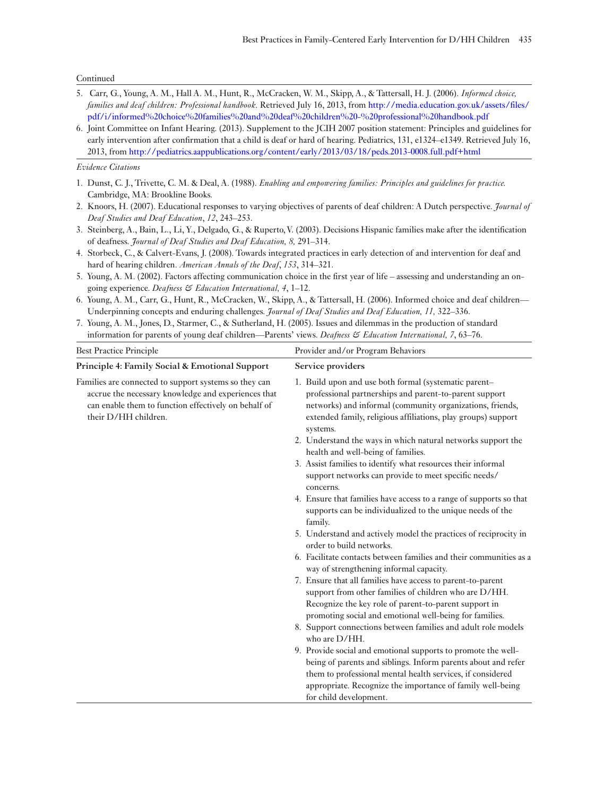- 5. Carr, G., Young, A. M., Hall A. M., Hunt, R., McCracken, W. M., Skipp, A., & Tattersall, H. J. (2006). *Informed choice, families and deaf children: Professional handbook.* Retrieved July 16, 2013, from [http://media.education.gov.uk/assets/files/](http://media.education.gov.uk/assets/files/pdf/i/informed choice families and deaf children - professional handbook.pdf) [pdf/i/informed%20choice%20families%20and%20deaf%20children%20-%20professional%20handbook.pdf](http://media.education.gov.uk/assets/files/pdf/i/informed choice families and deaf children - professional handbook.pdf)
- 6. Joint Committee on Infant Hearing. (2013). Supplement to the JCIH 2007 position statement: Principles and guidelines for early intervention after confirmation that a child is deaf or hard of hearing. Pediatrics, 131, e1324–e1349. Retrieved July 16, 2013, from <http://pediatrics.aappublications.org/content/early/2013/03/18/peds.2013-0008.full.pdf+html>

*Evidence Citations*

- 1. Dunst, C. J., Trivette, C. M. & Deal, A. (1988). *Enabling and empowering families: Principles and guidelines for practice.* Cambridge, MA: Brookline Books.
- 2. Knoors, H. (2007). Educational responses to varying objectives of parents of deaf children: A Dutch perspective. *Journal of Deaf Studies and Deaf Education*, *12*, 243–253.
- 3. Steinberg, A., Bain, L., Li, Y., Delgado, G., & Ruperto, V. (2003). Decisions Hispanic families make after the identification of deafness. *Journal of Deaf Studies and Deaf Education, 8,* 291–314.
- 4. Storbeck, C., & Calvert-Evans, J. (2008). Towards integrated practices in early detection of and intervention for deaf and hard of hearing children. *American Annals of the Deaf*, *153*, 314–321.
- 5. Young, A. M. (2002). Factors affecting communication choice in the first year of life assessing and understanding an ongoing experience. *Deafness & Education International, 4*, 1–12.
- 6. Young, A. M., Carr, G., Hunt, R., McCracken, W., Skipp, A., & Tattersall, H. (2006). Informed choice and deaf children— Underpinning concepts and enduring challenges. *Journal of Deaf Studies and Deaf Education, 11,* 322–336.
- 7. Young, A. M., Jones, D., Starmer, C., & Sutherland, H. (2005). Issues and dilemmas in the production of standard information for parents of young deaf children—Parents' views. *Deafness & Education International, 7*, 63–76.

| <b>Best Practice Principle</b>                                                                                                                                                               | Provider and/or Program Behaviors                                                                                                                                                                                                                                                    |  |
|----------------------------------------------------------------------------------------------------------------------------------------------------------------------------------------------|--------------------------------------------------------------------------------------------------------------------------------------------------------------------------------------------------------------------------------------------------------------------------------------|--|
| Principle 4: Family Social & Emotional Support                                                                                                                                               | Service providers                                                                                                                                                                                                                                                                    |  |
| Families are connected to support systems so they can<br>accrue the necessary knowledge and experiences that<br>can enable them to function effectively on behalf of<br>their D/HH children. | 1. Build upon and use both formal (systematic parent-<br>professional partnerships and parent-to-parent support<br>networks) and informal (community organizations, friends,<br>extended family, religious affiliations, play groups) support<br>systems.                            |  |
|                                                                                                                                                                                              | 2. Understand the ways in which natural networks support the<br>health and well-being of families.                                                                                                                                                                                   |  |
|                                                                                                                                                                                              | 3. Assist families to identify what resources their informal<br>support networks can provide to meet specific needs/<br>concerns.                                                                                                                                                    |  |
|                                                                                                                                                                                              | 4. Ensure that families have access to a range of supports so that<br>supports can be individualized to the unique needs of the<br>family.                                                                                                                                           |  |
|                                                                                                                                                                                              | 5. Understand and actively model the practices of reciprocity in<br>order to build networks.                                                                                                                                                                                         |  |
|                                                                                                                                                                                              | 6. Facilitate contacts between families and their communities as a<br>way of strengthening informal capacity.                                                                                                                                                                        |  |
|                                                                                                                                                                                              | 7. Ensure that all families have access to parent-to-parent<br>support from other families of children who are D/HH.<br>Recognize the key role of parent-to-parent support in<br>promoting social and emotional well-being for families.                                             |  |
|                                                                                                                                                                                              | 8. Support connections between families and adult role models<br>who are D/HH.                                                                                                                                                                                                       |  |
|                                                                                                                                                                                              | 9. Provide social and emotional supports to promote the well-<br>being of parents and siblings. Inform parents about and refer<br>them to professional mental health services, if considered<br>appropriate. Recognize the importance of family well-being<br>for child development. |  |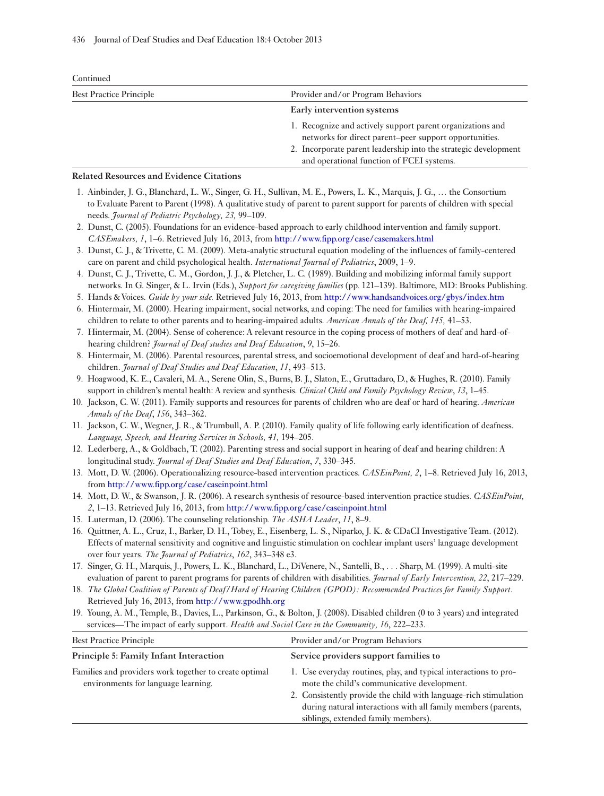| www.arm                        |                                                                                                                                                                                                                                      |
|--------------------------------|--------------------------------------------------------------------------------------------------------------------------------------------------------------------------------------------------------------------------------------|
| <b>Best Practice Principle</b> | Provider and/or Program Behaviors                                                                                                                                                                                                    |
|                                | Early intervention systems                                                                                                                                                                                                           |
|                                | 1. Recognize and actively support parent organizations and<br>networks for direct parent-peer support opportunities.<br>2. Incorporate parent leadership into the strategic development<br>and operational function of FCEI systems. |

Continued

- 1. Ainbinder, J. G., Blanchard, L. W., Singer, G. H., Sullivan, M. E., Powers, L. K., Marquis, J. G., … the Consortium to Evaluate Parent to Parent (1998). A qualitative study of parent to parent support for parents of children with special needs. *Journal of Pediatric Psychology, 23,* 99–109.
- 2. Dunst, C. (2005). Foundations for an evidence-based approach to early childhood intervention and family support. *CASEmakers, 1*, 1–6. Retrieved July 16, 2013, from<http://www.fipp.org/case/casemakers.html>
- 3. Dunst, C. J., & Trivette, C. M. (2009). Meta-analytic structural equation modeling of the influences of family-centered care on parent and child psychological health. *International Journal of Pediatrics*, 2009, 1–9.
- 4. Dunst, C. J., Trivette, C. M., Gordon, J. J., & Pletcher, L. C. (1989). Building and mobilizing informal family support networks. In G. Singer, & L. Irvin (Eds.), *Support for caregiving families* (pp. 121–139). Baltimore, MD: Brooks Publishing.
- 5. Hands & Voices*. Guide by your side.* Retrieved July 16, 2013, from <http://www.handsandvoices.org/gbys/index.htm>
- 6. Hintermair, M. (2000). Hearing impairment, social networks, and coping: The need for families with hearing-impaired children to relate to other parents and to hearing-impaired adults. *American Annals of the Deaf, 145,* 41–53.
- 7. Hintermair, M. (2004). Sense of coherence: A relevant resource in the coping process of mothers of deaf and hard-ofhearing children? *Journal of Deaf studies and Deaf Education*, *9*, 15–26.
- 8. Hintermair, M. (2006). Parental resources, parental stress, and socioemotional development of deaf and hard-of-hearing children. *Journal of Deaf Studies and Deaf Education*, *11*, 493–513.
- 9. Hoagwood, K. E., Cavaleri, M.A., Serene Olin, S., Burns, B. J., Slaton, E., Gruttadaro, D., & Hughes, R. (2010). Family support in children's mental health: A review and synthesis. *Clinical Child and Family Psychology Review*, *13*, 1–45.
- 10. Jackson, C. W. (2011). Family supports and resources for parents of children who are deaf or hard of hearing. *American Annals of the Deaf*, *156*, 343–362.
- 11. Jackson, C. W., Wegner, J. R., & Trumbull, A. P. (2010). Family quality of life following early identification of deafness. *Language, Speech, and Hearing Services in Schools, 41,* 194–205.
- 12. Lederberg, A., & Goldbach, T. (2002). Parenting stress and social support in hearing of deaf and hearing children: A longitudinal study. *Journal of Deaf Studies and Deaf Education*, *7*, 330–345.
- 13. Mott, D. W. (2006). Operationalizing resource-based intervention practices. *CASEinPoint, 2*, 1–8. Retrieved July 16, 2013, from <http://www.fipp.org/case/caseinpoint.html>
- 14. Mott, D. W., & Swanson, J. R. (2006). A research synthesis of resource-based intervention practice studies. *CASEinPoint, 2*, 1–13. Retrieved July 16, 2013, from <http://www.fipp.org/case/caseinpoint.html>
- 15. Luterman, D. (2006). The counseling relationship. *The ASHA Leader*, *11*, 8–9.
- 16. Quittner, A. L., Cruz, I., Barker, D. H., Tobey, E., Eisenberg, L. S., Niparko, J. K. & CDaCI Investigative Team. (2012). Effects of maternal sensitivity and cognitive and linguistic stimulation on cochlear implant users' language development over four years. *The Journal of Pediatrics*, *162*, 343–348 e3.
- 17. Singer, G. H., Marquis, J., Powers, L. K., Blanchard, L., DiVenere, N., Santelli, B., . . . Sharp, M. (1999). A multi-site evaluation of parent to parent programs for parents of children with disabilities. *Journal of Early Intervention, 22*, 217–229.
- 18. *The Global Coalition of Parents of Deaf/Hard of Hearing Children (GPOD): Recommended Practices for Family Support*. Retrieved July 16, 2013, from <http://www.gpodhh.org>
- 19. Young, A. M., Temple, B., Davies, L., Parkinson, G., & Bolton, J. (2008). Disabled children (0 to 3 years) and integrated services—The impact of early support. *Health and Social Care in the Community, 16*, 222–233.

| <b>Best Practice Principle</b>                                                                | Provider and/or Program Behaviors<br>Service providers support families to                                                                                                                                                                                                                  |  |
|-----------------------------------------------------------------------------------------------|---------------------------------------------------------------------------------------------------------------------------------------------------------------------------------------------------------------------------------------------------------------------------------------------|--|
| Principle 5: Family Infant Interaction                                                        |                                                                                                                                                                                                                                                                                             |  |
| Families and providers work together to create optimal<br>environments for language learning. | 1. Use everyday routines, play, and typical interactions to pro-<br>mote the child's communicative development.<br>2. Consistently provide the child with language-rich stimulation<br>during natural interactions with all family members (parents,<br>siblings, extended family members). |  |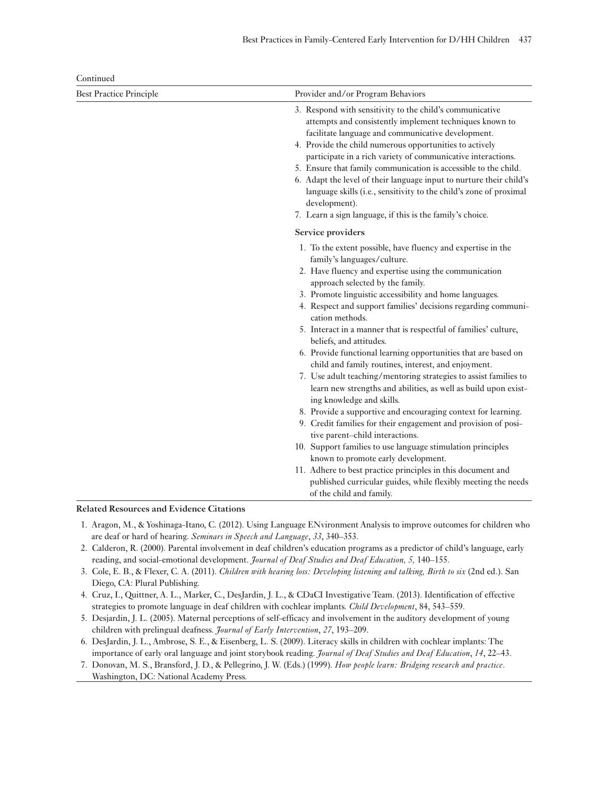| Continued |  |
|-----------|--|
|           |  |

| <b>Best Practice Principle</b> | Provider and/or Program Behaviors                                                                                                                                                                                                                                                                                                                                                                                                                                                                                                                                                                                                                                                                                                                                                                                                                                                                                                                                                                                                                                              |
|--------------------------------|--------------------------------------------------------------------------------------------------------------------------------------------------------------------------------------------------------------------------------------------------------------------------------------------------------------------------------------------------------------------------------------------------------------------------------------------------------------------------------------------------------------------------------------------------------------------------------------------------------------------------------------------------------------------------------------------------------------------------------------------------------------------------------------------------------------------------------------------------------------------------------------------------------------------------------------------------------------------------------------------------------------------------------------------------------------------------------|
|                                | 3. Respond with sensitivity to the child's communicative<br>attempts and consistently implement techniques known to<br>facilitate language and communicative development.<br>4. Provide the child numerous opportunities to actively<br>participate in a rich variety of communicative interactions.<br>5. Ensure that family communication is accessible to the child.<br>6. Adapt the level of their language input to nurture their child's<br>language skills (i.e., sensitivity to the child's zone of proximal<br>development).<br>7. Learn a sign language, if this is the family's choice.                                                                                                                                                                                                                                                                                                                                                                                                                                                                             |
|                                | Service providers                                                                                                                                                                                                                                                                                                                                                                                                                                                                                                                                                                                                                                                                                                                                                                                                                                                                                                                                                                                                                                                              |
|                                | 1. To the extent possible, have fluency and expertise in the<br>family's languages/culture.<br>2. Have fluency and expertise using the communication<br>approach selected by the family.<br>3. Promote linguistic accessibility and home languages.<br>4. Respect and support families' decisions regarding communi-<br>cation methods.<br>5. Interact in a manner that is respectful of families' culture,<br>beliefs, and attitudes.<br>6. Provide functional learning opportunities that are based on<br>child and family routines, interest, and enjoyment.<br>7. Use adult teaching/mentoring strategies to assist families to<br>learn new strengths and abilities, as well as build upon exist-<br>ing knowledge and skills.<br>8. Provide a supportive and encouraging context for learning.<br>9. Credit families for their engagement and provision of posi-<br>tive parent-child interactions.<br>10. Support families to use language stimulation principles<br>known to promote early development.<br>11. Adhere to best practice principles in this document and |
|                                | published curricular guides, while flexibly meeting the needs<br>of the child and family.                                                                                                                                                                                                                                                                                                                                                                                                                                                                                                                                                                                                                                                                                                                                                                                                                                                                                                                                                                                      |

- 5. Desjardin, J. L. (2005). Maternal perceptions of self-efficacy and involvement in the auditory development of young children with prelingual deafness. *Journal of Early Intervention*, *27*, 193–209.
- 6. DesJardin, J. L., Ambrose, S. E., & Eisenberg, L. S. (2009). Literacy skills in children with cochlear implants: The importance of early oral language and joint storybook reading. *Journal of Deaf Studies and Deaf Education*, *14*, 22–43.
- 7. Donovan, M. S., Bransford, J. D., & Pellegrino, J. W. (Eds.) (1999). *How people learn: Bridging research and practice*. Washington, DC: National Academy Press.

<sup>1.</sup> Aragon, M., & Yoshinaga-Itano, C. (2012). Using Language ENvironment Analysis to improve outcomes for children who are deaf or hard of hearing. *Seminars in Speech and Language*, *33*, 340–353.

<sup>2.</sup> Calderon, R. (2000). Parental involvement in deaf children's education programs as a predictor of child's language, early reading, and social-emotional development. *Journal of Deaf Studies and Deaf Education, 5,* 140–155.

<sup>3.</sup> Cole, E. B., & Flexer, C. A. (2011). *Children with hearing loss: Developing listening and talking, Birth to six* (2nd ed.). San Diego, CA: Plural Publishing.

<sup>4.</sup> Cruz, I., Quittner, A. L., Marker, C., DesJardin, J. L., & CDaCI Investigative Team. (2013). Identification of effective strategies to promote language in deaf children with cochlear implants. *Child Development*, 84, 543–559.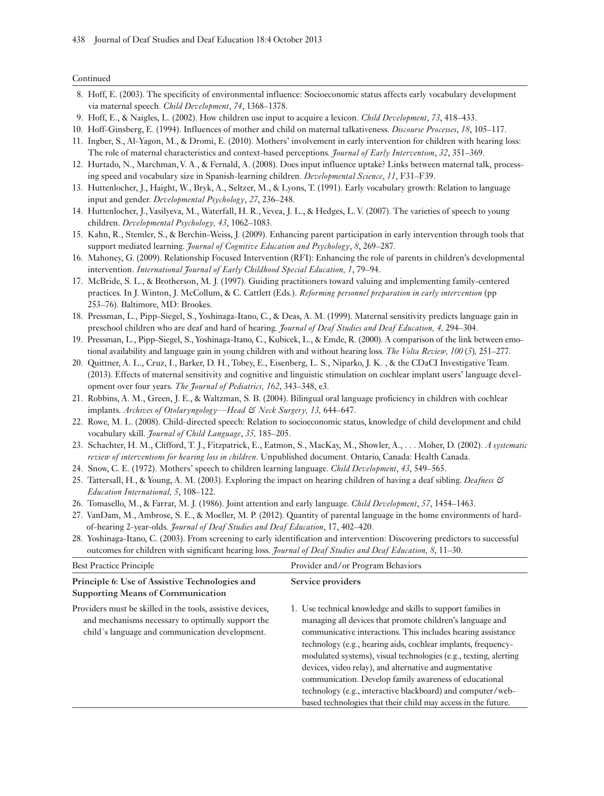| Continued |  |
|-----------|--|
|           |  |

- 8. Hoff, E. (2003). The specificity of environmental influence: Socioeconomic status affects early vocabulary development via maternal speech. *Child Development*, *74*, 1368–1378.
- 9. Hoff, E., & Naigles, L. (2002). How children use input to acquire a lexicon. *Child Development*, *73*, 418–433.
- 10. Hoff-Ginsberg, E. (1994). Influences of mother and child on maternal talkativeness. *Discourse Processes*, *18*, 105–117.
- 11. Ingber, S., Al-Yagon, M., & Dromi, E. (2010). Mothers' involvement in early intervention for children with hearing loss: The role of maternal characteristics and context-based perceptions. *Journal of Early Intervention*, *32*, 351–369.
- 12. Hurtado, N., Marchman, V. A., & Fernald, A. (2008). Does input influence uptake? Links between maternal talk, processing speed and vocabulary size in Spanish-learning children. *Developmental Science*, *11*, F31–F39.
- 13. Huttenlocher, J., Haight, W., Bryk, A., Seltzer, M., & Lyons, T. (1991). Early vocabulary growth: Relation to language input and gender. *Developmental Psychology*, *27*, 236–248.
- 14. Huttenlocher, J., Vasilyeva, M., Waterfall, H. R., Vevea, J. L., & Hedges, L.V. (2007). The varieties of speech to young children. *Developmental Psychology, 43*, 1062–1083.
- 15. Kahn, R., Stemler, S., & Berchin-Weiss, J. (2009). Enhancing parent participation in early intervention through tools that support mediated learning. *Journal of Cognitive Education and Psychology*, *8*, 269–287.
- 16. Mahoney, G. (2009). Relationship Focused Intervention (RFI): Enhancing the role of parents in children's developmental intervention. *International Journal of Early Childhood Special Education, 1*, 79–94.
- 17. McBride, S. L., & Brotherson, M. J. (1997). Guiding practitioners toward valuing and implementing family-centered practices. In J. Winton, J. McCollum, & C. Cattlett (Eds.). *Reforming personnel preparation in early intervention* (pp 253–76). Baltimore, MD: Brookes.
- 18. Pressman, L., Pipp-Siegel, S., Yoshinaga-Itano, C., & Deas, A. M. (1999). Maternal sensitivity predicts language gain in preschool children who are deaf and hard of hearing. *Journal of Deaf Studies and Deaf Education, 4,* 294–304.
- 19. Pressman, L., Pipp-Siegel, S., Yoshinaga-Itano, C., Kubicek, L., & Emde, R. (2000). A comparison of the link between emotional availability and language gain in young children with and without hearing loss. *The Volta Review, 100* (*5*)*,* 251–277.
- 20. Quittner, A. L., Cruz, I., Barker, D. H., Tobey, E., Eisenberg, L. S., Niparko, J. K. , & the CDaCI Investigative Team. (2013). Effects of maternal sensitivity and cognitive and linguistic stimulation on cochlear implant users' language development over four years. *The Journal of Pediatrics, 162*, 343–348, e3.
- 21. Robbins, A. M., Green, J. E., & Waltzman, S. B. (2004). Bilingual oral language proficiency in children with cochlear implants. *Archives of Otolaryngology—Head & Neck Surgery, 13,* 644–647.
- 22. Rowe, M. L. (2008). Child-directed speech: Relation to socioeconomic status, knowledge of child development and child vocabulary skill. *Journal of Child Language*, *35,* 185–205.
- 23. Schachter, H. M., Clifford, T. J., Fitzpatrick, E., Eatmon, S., MacKay, M., Showler, A., . . . Moher, D. (2002). *A systematic review of interventions for hearing loss in children*. Unpublished document. Ontario, Canada: Health Canada.
- 24. Snow, C. E. (1972). Mothers' speech to children learning language. *Child Development*, *43*, 549–565.
- 25. Tattersall, H., & Young, A. M. (2003). Exploring the impact on hearing children of having a deaf sibling. *Deafness & Education International, 5*, 108–122.
- 26. Tomasello, M., & Farrar, M. J. (1986). Joint attention and early language. *Child Development*, *57*, 1454–1463.
- 27. VanDam, M., Ambrose, S. E., & Moeller, M. P. (2012). Quantity of parental language in the home environments of hardof-hearing 2-year-olds. *Journal of Deaf Studies and Deaf Education*, 17, 402–420.
- 28. Yoshinaga-Itano, C. (2003). From screening to early identification and intervention: Discovering predictors to successful outcomes for children with significant hearing loss. *Journal of Deaf Studies and Deaf Education, 8*, 11–30.

| <b>Best Practice Principle</b>                                                                                                                                     | Provider and/or Program Behaviors                                                                                                                                                                                                                                                                                                                                                                                                                                                                                                                                                   |  |
|--------------------------------------------------------------------------------------------------------------------------------------------------------------------|-------------------------------------------------------------------------------------------------------------------------------------------------------------------------------------------------------------------------------------------------------------------------------------------------------------------------------------------------------------------------------------------------------------------------------------------------------------------------------------------------------------------------------------------------------------------------------------|--|
| Principle 6: Use of Assistive Technologies and<br><b>Supporting Means of Communication</b>                                                                         | Service providers                                                                                                                                                                                                                                                                                                                                                                                                                                                                                                                                                                   |  |
| Providers must be skilled in the tools, assistive devices,<br>and mechanisms necessary to optimally support the<br>child's language and communication development. | 1. Use technical knowledge and skills to support families in<br>managing all devices that promote children's language and<br>communicative interactions. This includes hearing assistance<br>technology (e.g., hearing aids, cochlear implants, frequency-<br>modulated systems), visual technologies (e.g., texting, alerting<br>devices, video relay), and alternative and augmentative<br>communication. Develop family awareness of educational<br>technology (e.g., interactive blackboard) and computer/web-<br>based technologies that their child may access in the future. |  |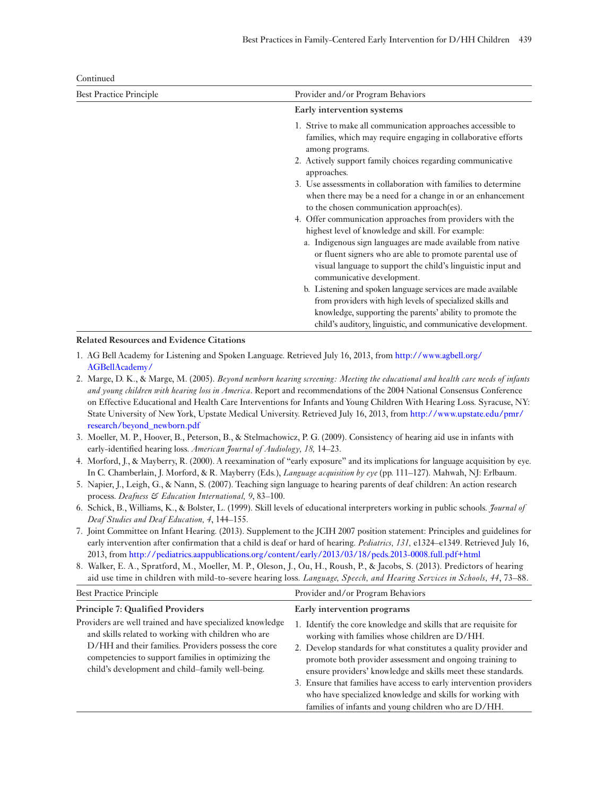| conunuu                        |                                                                                                                                                                                                                                                                                                                                          |
|--------------------------------|------------------------------------------------------------------------------------------------------------------------------------------------------------------------------------------------------------------------------------------------------------------------------------------------------------------------------------------|
| <b>Best Practice Principle</b> | Provider and/or Program Behaviors                                                                                                                                                                                                                                                                                                        |
|                                | Early intervention systems                                                                                                                                                                                                                                                                                                               |
|                                | 1. Strive to make all communication approaches accessible to<br>families, which may require engaging in collaborative efforts<br>among programs.                                                                                                                                                                                         |
|                                | 2. Actively support family choices regarding communicative<br>approaches.                                                                                                                                                                                                                                                                |
|                                | 3. Use assessments in collaboration with families to determine<br>when there may be a need for a change in or an enhancement<br>to the chosen communication approach (es).                                                                                                                                                               |
|                                | 4. Offer communication approaches from providers with the<br>highest level of knowledge and skill. For example:<br>a. Indigenous sign languages are made available from native<br>or fluent signers who are able to promote parental use of<br>visual language to support the child's linguistic input and<br>communicative development. |
|                                | b. Listening and spoken language services are made available<br>from providers with high levels of specialized skills and<br>knowledge, supporting the parents' ability to promote the<br>child's auditory, linguistic, and communicative development.                                                                                   |

- 1. AG Bell Academy for Listening and Spoken Language. Retrieved July 16, 2013, from [http://www.agbell.org/](http://www.agbell.org/AGBellAcademy/) [AGBellAcademy/](http://www.agbell.org/AGBellAcademy/)
- 2. Marge, D. K., & Marge, M. (2005). *Beyond newborn hearing screening: Meeting the educational and health care needs of infants and young children with hearing loss in America*. Report and recommendations of the 2004 National Consensus Conference on Effective Educational and Health Care Interventions for Infants and Young Children With Hearing Loss. Syracuse, NY: State University of New York, Upstate Medical University. Retrieved July 16, 2013, from [http://www.upstate.edu/pmr/](http://www.upstate.edu/pmr/research/beyond_newborn.pdf) [research/beyond\\_newborn.pdf](http://www.upstate.edu/pmr/research/beyond_newborn.pdf)
- 3. Moeller, M. P., Hoover, B., Peterson, B., & Stelmachowicz, P. G. (2009). Consistency of hearing aid use in infants with early-identified hearing loss. *American Journal of Audiology, 18,* 14–23.
- 4. Morford, J., & Mayberry, R. (2000). A reexamination of "early exposure" and its implications for language acquisition by eye. In C. Chamberlain, J. Morford, & R. Mayberry (Eds.), *Language acquisition by eye* (pp. 111–127). Mahwah, NJ: Erlbaum.
- 5. Napier, J., Leigh, G., & Nann, S. (2007). Teaching sign language to hearing parents of deaf children: An action research process. *Deafness & Education International, 9*, 83–100.
- 6. Schick, B., Williams, K., & Bolster, L. (1999). Skill levels of educational interpreters working in public schools. *Journal of Deaf Studies and Deaf Education, 4*, 144–155.
- 7. Joint Committee on Infant Hearing. (2013). Supplement to the JCIH 2007 position statement: Principles and guidelines for early intervention after confirmation that a child is deaf or hard of hearing. *Pediatrics, 131,* e1324–e1349. Retrieved July 16, 2013, from <http://pediatrics.aappublications.org/content/early/2013/03/18/peds.2013-0008.full.pdf+html>
- 8. Walker, E. A., Spratford, M., Moeller, M. P., Oleson, J., Ou, H., Roush, P., & Jacobs, S. (2013). Predictors of hearing aid use time in children with mild-to-severe hearing loss. *Language, Speech, and Hearing Services in Schools, 44*, 73–88.

| <b>Best Practice Principle</b>                                                                                                                                                                                                                                                    | Provider and/or Program Behaviors                                                                                                                                                                                                                                                                                                                                                                                                                                                                            |
|-----------------------------------------------------------------------------------------------------------------------------------------------------------------------------------------------------------------------------------------------------------------------------------|--------------------------------------------------------------------------------------------------------------------------------------------------------------------------------------------------------------------------------------------------------------------------------------------------------------------------------------------------------------------------------------------------------------------------------------------------------------------------------------------------------------|
| <b>Principle 7: Qualified Providers</b>                                                                                                                                                                                                                                           | Early intervention programs                                                                                                                                                                                                                                                                                                                                                                                                                                                                                  |
| Providers are well trained and have specialized knowledge<br>and skills related to working with children who are<br>D/HH and their families. Providers possess the core<br>competencies to support families in optimizing the<br>child's development and child–family well-being. | Identify the core knowledge and skills that are requisite for<br>working with families whose children are D/HH.<br>2. Develop standards for what constitutes a quality provider and<br>promote both provider assessment and ongoing training to<br>ensure providers' knowledge and skills meet these standards.<br>3. Ensure that families have access to early intervention providers<br>who have specialized knowledge and skills for working with<br>families of infants and young children who are D/HH. |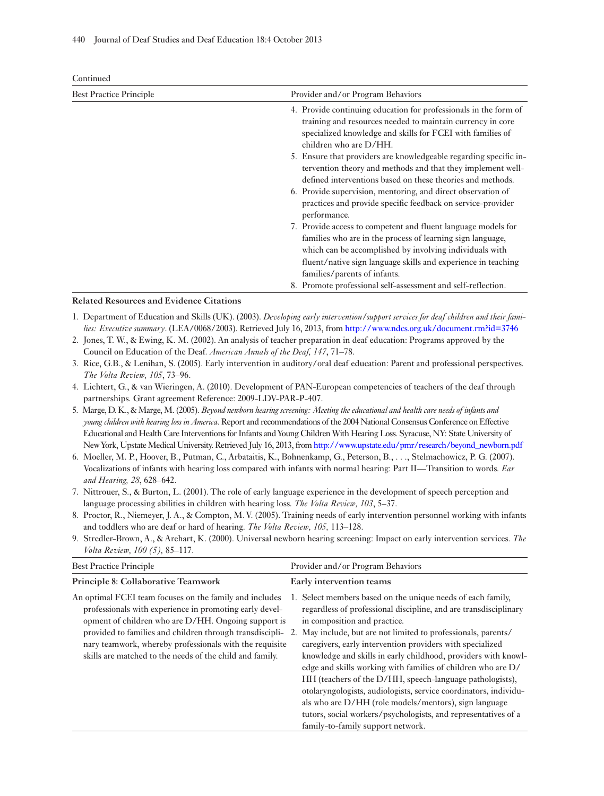| <b>Best Practice Principle</b> | Provider and/or Program Behaviors                                                                                                                                                                                                                       |
|--------------------------------|---------------------------------------------------------------------------------------------------------------------------------------------------------------------------------------------------------------------------------------------------------|
|                                | 4. Provide continuing education for professionals in the form of<br>training and resources needed to maintain currency in core<br>specialized knowledge and skills for FCEI with families of<br>children who are D/HH.                                  |
|                                | 5. Ensure that providers are knowledgeable regarding specific in-<br>tervention theory and methods and that they implement well-<br>defined interventions based on these theories and methods.                                                          |
|                                | 6. Provide supervision, mentoring, and direct observation of<br>practices and provide specific feedback on service-provider<br>performance.                                                                                                             |
|                                | 7. Provide access to competent and fluent language models for<br>families who are in the process of learning sign language,<br>which can be accomplished by involving individuals with<br>fluent/native sign language skills and experience in teaching |
|                                | families/parents of infants.<br>8. Promote professional self-assessment and self-reflection.                                                                                                                                                            |

- 1. Department of Education and Skills (UK). (2003). *Developing early intervention/support services for deaf children and their families: Executive summary*. (LEA/0068/2003). Retrieved July 16, 2013, from<http://www.ndcs.org.uk/document.rm?id=3746>
- 2. Jones, T. W., & Ewing, K. M. (2002). An analysis of teacher preparation in deaf education: Programs approved by the Council on Education of the Deaf. *American Annals of the Deaf, 147*, 71–78.
- 3. Rice, G.B., & Lenihan, S. (2005). Early intervention in auditory/oral deaf education: Parent and professional perspectives. *The Volta Review, 105*, 73–96.
- 4. Lichtert, G., & van Wieringen, A. (2010). Development of PAN-European competencies of teachers of the deaf through partnerships. Grant agreement Reference: 2009-LDV-PAR-P-407.
- 5. Marge, D. K., & Marge, M. (2005). *Beyond newborn hearing screening: Meeting the educational and health care needs of infants and young children with hearing loss in America*. Report and recommendations of the 2004 National Consensus Conference on Effective Educational and Health Care Interventions for Infants and Young Children With Hearing Loss. Syracuse, NY: State University of New York, Upstate Medical University. Retrieved July 16, 2013, from [http://www.upstate.edu/pmr/research/beyond\\_newborn.pdf](http://www.upstate.edu/pmr/research/beyond_newborn.pdf)
- 6. Moeller, M. P., Hoover, B., Putman, C., Arbataitis, K., Bohnenkamp, G., Peterson, B., . . ., Stelmachowicz, P. G. (2007). Vocalizations of infants with hearing loss compared with infants with normal hearing: Part II—Transition to words. *Ear and Hearing, 28*, 628–642.
- 7. Nittrouer, S., & Burton, L. (2001). The role of early language experience in the development of speech perception and language processing abilities in children with hearing loss. *The Volta Review, 103*, 5–37.
- 8. Proctor, R., Niemeyer, J. A., & Compton, M.V. (2005). Training needs of early intervention personnel working with infants and toddlers who are deaf or hard of hearing. *The Volta Review, 105,* 113–128.
- 9. Stredler-Brown, A., & Arehart, K. (2000). Universal newborn hearing screening: Impact on early intervention services. *The Volta Review, 100 (5),* 85–117.

| <b>Best Practice Principle</b>                                                                                                                                                                                                                                                                                                                                  | Provider and/or Program Behaviors<br>Early intervention teams                                                                                                                                                                                                                                                                                                                                                                                                                                                                                                                                                                                                                                                                 |  |  |
|-----------------------------------------------------------------------------------------------------------------------------------------------------------------------------------------------------------------------------------------------------------------------------------------------------------------------------------------------------------------|-------------------------------------------------------------------------------------------------------------------------------------------------------------------------------------------------------------------------------------------------------------------------------------------------------------------------------------------------------------------------------------------------------------------------------------------------------------------------------------------------------------------------------------------------------------------------------------------------------------------------------------------------------------------------------------------------------------------------------|--|--|
| Principle 8: Collaborative Teamwork                                                                                                                                                                                                                                                                                                                             |                                                                                                                                                                                                                                                                                                                                                                                                                                                                                                                                                                                                                                                                                                                               |  |  |
| An optimal FCEI team focuses on the family and includes<br>professionals with experience in promoting early devel-<br>opment of children who are D/HH. Ongoing support is<br>provided to families and children through transdiscipli- 2.<br>nary teamwork, whereby professionals with the requisite<br>skills are matched to the needs of the child and family. | 1. Select members based on the unique needs of each family,<br>regardless of professional discipline, and are transdisciplinary<br>in composition and practice.<br>May include, but are not limited to professionals, parents/<br>caregivers, early intervention providers with specialized<br>knowledge and skills in early childhood, providers with knowl-<br>edge and skills working with families of children who are D/<br>HH (teachers of the D/HH, speech-language pathologists),<br>otolaryngologists, audiologists, service coordinators, individu-<br>als who are D/HH (role models/mentors), sign language<br>tutors, social workers/psychologists, and representatives of a<br>family-to-family support network. |  |  |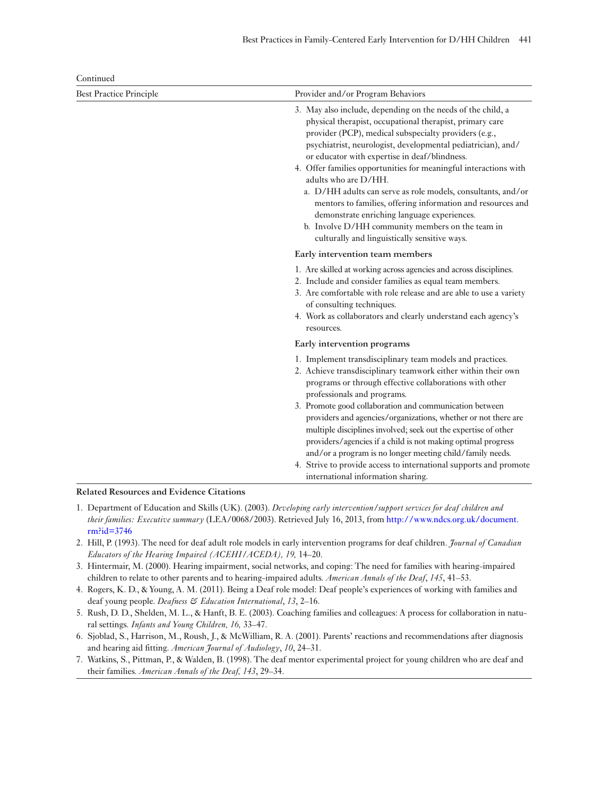| Continued |  |
|-----------|--|
|           |  |

| <b>Best Practice Principle</b> | Provider and/or Program Behaviors                                                                                                                                                                                                                                                                                                                                                                                                                                                                                                                                                                                                                                                |
|--------------------------------|----------------------------------------------------------------------------------------------------------------------------------------------------------------------------------------------------------------------------------------------------------------------------------------------------------------------------------------------------------------------------------------------------------------------------------------------------------------------------------------------------------------------------------------------------------------------------------------------------------------------------------------------------------------------------------|
|                                | 3. May also include, depending on the needs of the child, a<br>physical therapist, occupational therapist, primary care<br>provider (PCP), medical subspecialty providers (e.g.,<br>psychiatrist, neurologist, developmental pediatrician), and/<br>or educator with expertise in deaf/blindness.<br>4. Offer families opportunities for meaningful interactions with<br>adults who are D/HH.<br>a. D/HH adults can serve as role models, consultants, and/or<br>mentors to families, offering information and resources and<br>demonstrate enriching language experiences.<br>b. Involve D/HH community members on the team in<br>culturally and linguistically sensitive ways. |
|                                | Early intervention team members                                                                                                                                                                                                                                                                                                                                                                                                                                                                                                                                                                                                                                                  |
|                                | 1. Are skilled at working across agencies and across disciplines.<br>2. Include and consider families as equal team members.<br>3. Are comfortable with role release and are able to use a variety<br>of consulting techniques.<br>4. Work as collaborators and clearly understand each agency's<br>resources.                                                                                                                                                                                                                                                                                                                                                                   |
|                                | Early intervention programs                                                                                                                                                                                                                                                                                                                                                                                                                                                                                                                                                                                                                                                      |
|                                | 1. Implement transdisciplinary team models and practices.<br>2. Achieve transdisciplinary teamwork either within their own<br>programs or through effective collaborations with other<br>professionals and programs.<br>3. Promote good collaboration and communication between<br>providers and agencies/organizations, whether or not there are<br>multiple disciplines involved; seek out the expertise of other<br>providers/agencies if a child is not making optimal progress<br>and/or a program is no longer meeting child/family needs.<br>4. Strive to provide access to international supports and promote<br>international information sharing.                      |

- 1. Department of Education and Skills (UK). (2003). *Developing early intervention/support services for deaf children and their families: Executive summary* (LEA/0068/2003). Retrieved July 16, 2013, from [http://www.ndcs.org.uk/document.](http://www.ndcs.org.uk/document.rm?id=3746) [rm?id=3746](http://www.ndcs.org.uk/document.rm?id=3746)
- 2. Hill, P. (1993). The need for deaf adult role models in early intervention programs for deaf children. *Journal of Canadian Educators of the Hearing Impaired (ACEHI/ACEDA), 19,* 14–20.
- 3. Hintermair, M. (2000). Hearing impairment, social networks, and coping: The need for families with hearing-impaired children to relate to other parents and to hearing-impaired adults. *American Annals of the Deaf*, *145*, 41–53.
- 4. Rogers, K. D., & Young, A. M. (2011). Being a Deaf role model: Deaf people's experiences of working with families and deaf young people. *Deafness & Education International*, *13*, 2–16.
- 5. Rush, D. D., Shelden, M. L., & Hanft, B. E. (2003). Coaching families and colleagues: A process for collaboration in natural settings. *Infants and Young Children, 16,* 33–47.
- 6. Sjoblad, S., Harrison, M., Roush, J., & McWilliam, R. A. (2001). Parents' reactions and recommendations after diagnosis and hearing aid fitting. *American Journal of Audiology*, *10*, 24–31.
- 7. Watkins, S., Pittman, P., & Walden, B. (1998). The deaf mentor experimental project for young children who are deaf and their families. *American Annals of the Deaf, 143*, 29–34.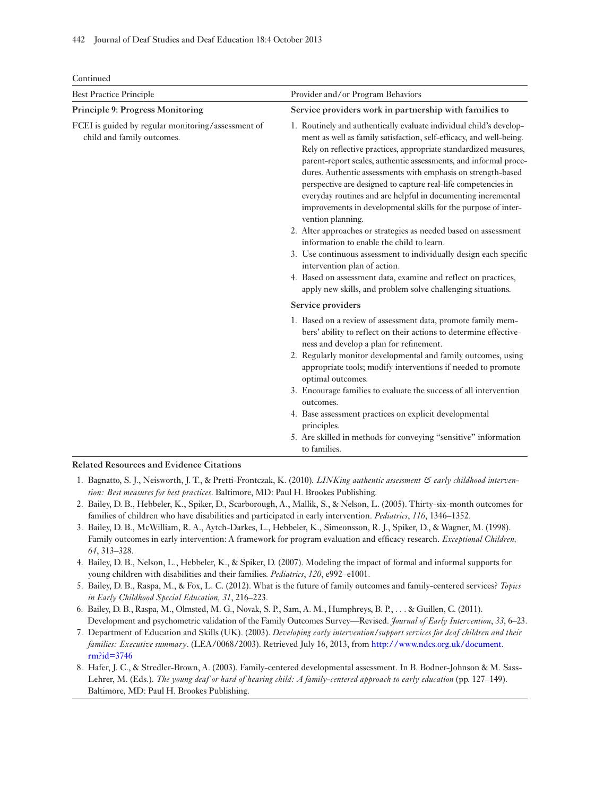**Continued** 

| <b>Best Practice Principle</b>                                                   | Provider and/or Program Behaviors                                                                                                                                                                                                                                                                                                                                                                                                                                                                                                                                                                                                                                                                                                                                                                                                                                                                                                |  |  |
|----------------------------------------------------------------------------------|----------------------------------------------------------------------------------------------------------------------------------------------------------------------------------------------------------------------------------------------------------------------------------------------------------------------------------------------------------------------------------------------------------------------------------------------------------------------------------------------------------------------------------------------------------------------------------------------------------------------------------------------------------------------------------------------------------------------------------------------------------------------------------------------------------------------------------------------------------------------------------------------------------------------------------|--|--|
| <b>Principle 9: Progress Monitoring</b>                                          | Service providers work in partnership with families to                                                                                                                                                                                                                                                                                                                                                                                                                                                                                                                                                                                                                                                                                                                                                                                                                                                                           |  |  |
| FCEI is guided by regular monitoring/assessment of<br>child and family outcomes. | 1. Routinely and authentically evaluate individual child's develop-<br>ment as well as family satisfaction, self-efficacy, and well-being.<br>Rely on reflective practices, appropriate standardized measures,<br>parent-report scales, authentic assessments, and informal proce-<br>dures. Authentic assessments with emphasis on strength-based<br>perspective are designed to capture real-life competencies in<br>everyday routines and are helpful in documenting incremental<br>improvements in developmental skills for the purpose of inter-<br>vention planning.<br>2. Alter approaches or strategies as needed based on assessment<br>information to enable the child to learn.<br>3. Use continuous assessment to individually design each specific<br>intervention plan of action.<br>4. Based on assessment data, examine and reflect on practices,<br>apply new skills, and problem solve challenging situations. |  |  |
|                                                                                  | Service providers                                                                                                                                                                                                                                                                                                                                                                                                                                                                                                                                                                                                                                                                                                                                                                                                                                                                                                                |  |  |
|                                                                                  | 1. Based on a review of assessment data, promote family mem-<br>bers' ability to reflect on their actions to determine effective-<br>ness and develop a plan for refinement.                                                                                                                                                                                                                                                                                                                                                                                                                                                                                                                                                                                                                                                                                                                                                     |  |  |
|                                                                                  | 2. Regularly monitor developmental and family outcomes, using<br>appropriate tools; modify interventions if needed to promote<br>optimal outcomes.                                                                                                                                                                                                                                                                                                                                                                                                                                                                                                                                                                                                                                                                                                                                                                               |  |  |
|                                                                                  | 3. Encourage families to evaluate the success of all intervention<br>outcomes.                                                                                                                                                                                                                                                                                                                                                                                                                                                                                                                                                                                                                                                                                                                                                                                                                                                   |  |  |
|                                                                                  | 4. Base assessment practices on explicit developmental<br>principles.<br>5. Are skilled in methods for conveying "sensitive" information                                                                                                                                                                                                                                                                                                                                                                                                                                                                                                                                                                                                                                                                                                                                                                                         |  |  |
|                                                                                  | to families.                                                                                                                                                                                                                                                                                                                                                                                                                                                                                                                                                                                                                                                                                                                                                                                                                                                                                                                     |  |  |

- 3. Bailey, D. B., McWilliam, R. A., Aytch-Darkes, L., Hebbeler, K., Simeonsson, R. J., Spiker, D., & Wagner, M. (1998). Family outcomes in early intervention: A framework for program evaluation and efficacy research. *Exceptional Children, 64*, 313–328.
- 4. Bailey, D. B., Nelson, L., Hebbeler, K., & Spiker, D. (2007). Modeling the impact of formal and informal supports for young children with disabilities and their families. *Pediatrics*, *120*, e992–e1001.
- 5. Bailey, D. B., Raspa, M., & Fox, L. C. (2012). What is the future of family outcomes and family-centered services? *Topics in Early Childhood Special Education, 31*, 216–223.
- 6. Bailey, D. B., Raspa, M., Olmsted, M. G., Novak, S. P., Sam, A. M., Humphreys, B. P., . . . & Guillen, C. (2011). Development and psychometric validation of the Family Outcomes Survey—Revised. *Journal of Early Intervention*, *33*, 6–23.
- 7. Department of Education and Skills (UK). (2003). *Developing early intervention/support services for deaf children and their families: Executive summary*. (LEA/0068/2003). Retrieved July 16, 2013, from [http://www.ndcs.org.uk/document.](http://www.ndcs.org.uk/document.rm?id=3746) [rm?id=3746](http://www.ndcs.org.uk/document.rm?id=3746)
- 8. Hafer, J. C., & Stredler-Brown, A. (2003). Family-centered developmental assessment. In B. Bodner-Johnson & M. Sass-Lehrer, M. (Eds.). *The young deaf or hard of hearing child: A family-centered approach to early education* (pp. 127–149). Baltimore, MD: Paul H. Brookes Publishing.

<sup>1.</sup> Bagnatto, S. J., Neisworth, J. T., & Pretti-Frontczak, K. (2010)*. LINKing authentic assessment & early childhood intervention: Best measures for best practices*. Baltimore, MD: Paul H. Brookes Publishing.

<sup>2.</sup> Bailey, D. B., Hebbeler, K., Spiker, D., Scarborough, A., Mallik, S., & Nelson, L. (2005). Thirty-six-month outcomes for families of children who have disabilities and participated in early intervention. *Pediatrics*, *116*, 1346–1352.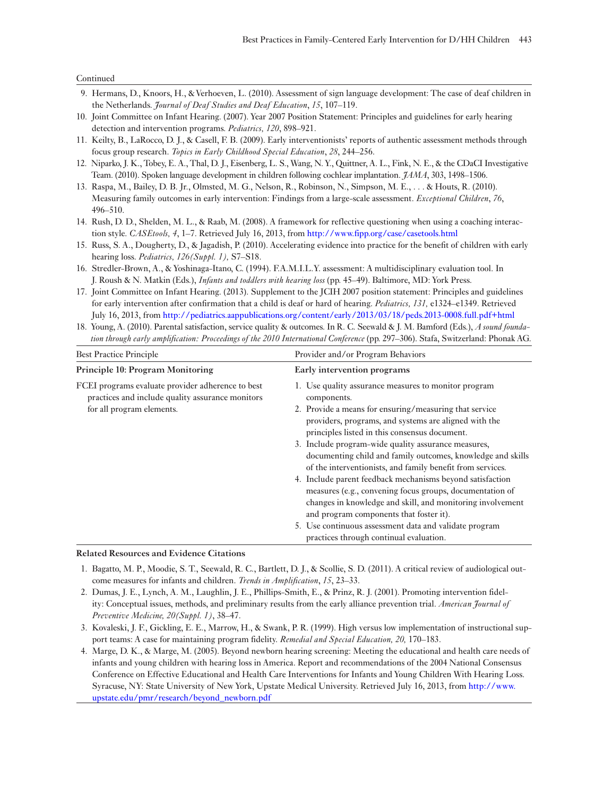| 9. Hermans, D., Knoors, H., & Verhoeven, L. (2010). Assessment of sign language development: The case of deaf children in |  |  |
|---------------------------------------------------------------------------------------------------------------------------|--|--|
| the Netherlands. <i>Journal of Deaf Studies and Deaf Education</i> , 15, 107–119.                                         |  |  |

- 10. Joint Committee on Infant Hearing. (2007). Year 2007 Position Statement: Principles and guidelines for early hearing detection and intervention programs. *Pediatrics, 120*, 898–921.
- 11. Keilty, B., LaRocco, D. J., & Casell, F. B. (2009). Early interventionists' reports of authentic assessment methods through focus group research. *Topics in Early Childhood Special Education*, *28*, 244–256.
- 12. Niparko, J. K., Tobey, E.A., Thal, D. J., Eisenberg, L. S., Wang, N.Y., Quittner, A. L., Fink, N. E., & the CDaCI Investigative Team. (2010). Spoken language development in children following cochlear implantation. *JAMA*, 303, 1498–1506.
- 13. Raspa, M., Bailey, D. B. Jr., Olmsted, M. G., Nelson, R., Robinson, N., Simpson, M. E., . . . & Houts, R. (2010). Measuring family outcomes in early intervention: Findings from a large-scale assessment. *Exceptional Children*, *76*, 496–510.
- 14. Rush, D. D., Shelden, M. L., & Raab, M. (2008). A framework for reflective questioning when using a coaching interaction style. *CASEtools, 4*, 1–7. Retrieved July 16, 2013, from<http://www.fipp.org/case/casetools.html>
- 15. Russ, S. A., Dougherty, D., & Jagadish, P. (2010). Accelerating evidence into practice for the benefit of children with early hearing loss. *Pediatrics, 126(Suppl. 1),* S7–S18.
- 16. Stredler-Brown, A., & Yoshinaga-Itano, C. (1994). F.A.M.I.L.Y. assessment: A multidisciplinary evaluation tool. In J. Roush & N. Matkin (Eds.), *Infants and toddlers with hearing loss* (pp. 45–49). Baltimore, MD: York Press.
- 17. Joint Committee on Infant Hearing. (2013). Supplement to the JCIH 2007 position statement: Principles and guidelines for early intervention after confirmation that a child is deaf or hard of hearing. *Pediatrics, 131,* e1324–e1349. Retrieved July 16, 2013, from<http://pediatrics.aappublications.org/content/early/2013/03/18/peds.2013-0008.full.pdf+html>
- 18. Young, A. (2010). Parental satisfaction, service quality & outcomes. In R. C. Seewald & J. M. Bamford (Eds.), *A sound foundation through early amplification: Proceedings of the 2010 International Conference* (pp. 297–306). Stafa, Switzerland: Phonak AG.

| <b>Best Practice Principle</b><br>Provider and/or Program Behaviors                                                                |                                                                                                                                                                                                                                |  |  |
|------------------------------------------------------------------------------------------------------------------------------------|--------------------------------------------------------------------------------------------------------------------------------------------------------------------------------------------------------------------------------|--|--|
| Principle 10: Program Monitoring                                                                                                   | Early intervention programs                                                                                                                                                                                                    |  |  |
| FCEI programs evaluate provider adherence to best<br>practices and include quality assurance monitors<br>for all program elements. | 1. Use quality assurance measures to monitor program<br>components.                                                                                                                                                            |  |  |
|                                                                                                                                    | 2. Provide a means for ensuring/measuring that service<br>providers, programs, and systems are aligned with the<br>principles listed in this consensus document.                                                               |  |  |
|                                                                                                                                    | 3. Include program-wide quality assurance measures,<br>documenting child and family outcomes, knowledge and skills<br>of the interventionists, and family benefit from services.                                               |  |  |
|                                                                                                                                    | 4. Include parent feedback mechanisms beyond satisfaction<br>measures (e.g., convening focus groups, documentation of<br>changes in knowledge and skill, and monitoring involvement<br>and program components that foster it). |  |  |
|                                                                                                                                    | 5. Use continuous assessment data and validate program<br>practices through continual evaluation.                                                                                                                              |  |  |

- 1. Bagatto, M. P., Moodie, S. T., Seewald, R. C., Bartlett, D. J., & Scollie, S. D. (2011). A critical review of audiological outcome measures for infants and children. *Trends in Amplification*, *15*, 23–33.
- 2. Dumas, J. E., Lynch, A. M., Laughlin, J. E., Phillips-Smith, E., & Prinz, R. J. (2001). Promoting intervention fidelity: Conceptual issues, methods, and preliminary results from the early alliance prevention trial. *American Journal of Preventive Medicine, 20(Suppl. 1)*, 38–47.
- 3. Kovaleski, J. F., Gickling, E. E., Marrow, H., & Swank, P. R. (1999). High versus low implementation of instructional support teams: A case for maintaining program fidelity. *Remedial and Special Education, 20,* 170–183.
- 4. Marge, D. K., & Marge, M. (2005). Beyond newborn hearing screening: Meeting the educational and health care needs of infants and young children with hearing loss in America. Report and recommendations of the 2004 National Consensus Conference on Effective Educational and Health Care Interventions for Infants and Young Children With Hearing Loss. Syracuse, NY: State University of New York, Upstate Medical University. Retrieved July 16, 2013, from [http://www.](http://www.upstate.edu/pmr/research/beyond_newborn.pdf) [upstate.edu/pmr/research/beyond\\_newborn.pdf](http://www.upstate.edu/pmr/research/beyond_newborn.pdf)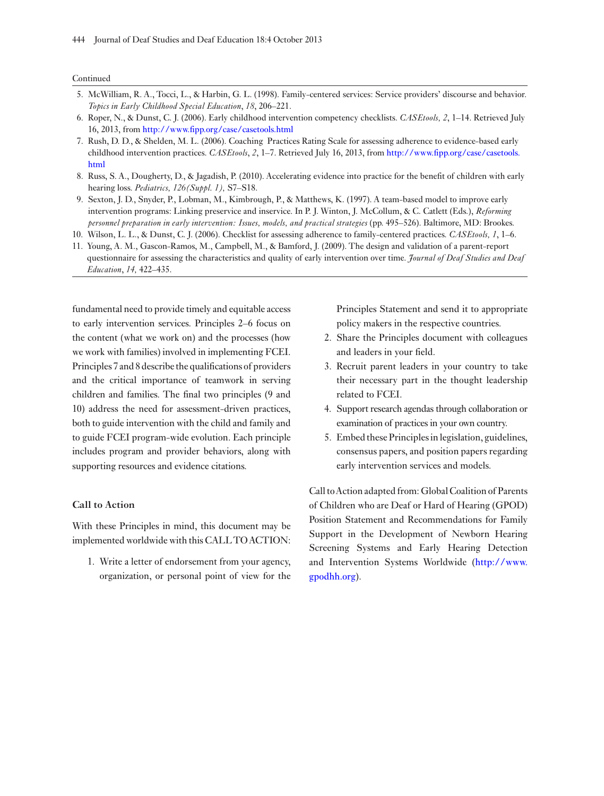- 5. McWilliam, R. A., Tocci, L., & Harbin, G. L. (1998). Family-centered services: Service providers' discourse and behavior. *Topics in Early Childhood Special Education*, *18*, 206–221.
- 6. Roper, N., & Dunst, C. J. (2006). Early childhood intervention competency checklists. *CASEtools, 2*, 1–14. Retrieved July 16, 2013, from<http://www.fipp.org/case/casetools.html>
- 7. Rush, D. D., & Shelden, M. L. (2006). Coaching Practices Rating Scale for assessing adherence to evidence-based early childhood intervention practices. *CASEtools*, *2*, 1–7. Retrieved July 16, 2013, from [http://www.fipp.org/case/casetools.](http://www.fipp.org/case/casetools.html) [html](http://www.fipp.org/case/casetools.html)
- 8. Russ, S. A., Dougherty, D., & Jagadish, P. (2010). Accelerating evidence into practice for the benefit of children with early hearing loss. *Pediatrics, 126(Suppl. 1),* S7–S18.
- 9. Sexton, J. D., Snyder, P., Lobman, M., Kimbrough, P., & Matthews, K. (1997). A team-based model to improve early intervention programs: Linking preservice and inservice. In P. J. Winton, J. McCollum, & C. Catlett (Eds.), *Reforming personnel preparation in early intervention: Issues, models, and practical strategies* (pp. 495–526). Baltimore, MD: Brookes.

10. Wilson, L. L., & Dunst, C. J. (2006). Checklist for assessing adherence to family-centered practices. *CASEtools, 1*, 1–6.

11. Young, A. M., Gascon-Ramos, M., Campbell, M., & Bamford, J. (2009). The design and validation of a parent-report questionnaire for assessing the characteristics and quality of early intervention over time. *Journal of Deaf Studies and Deaf Education*, *14,* 422–435.

fundamental need to provide timely and equitable access to early intervention services. Principles 2–6 focus on the content (what we work on) and the processes (how we work with families) involved in implementing FCEI. Principles 7 and 8 describe the qualifications of providers and the critical importance of teamwork in serving children and families. The final two principles (9 and 10) address the need for assessment-driven practices, both to guide intervention with the child and family and to guide FCEI program-wide evolution. Each principle includes program and provider behaviors, along with supporting resources and evidence citations.

## **Call to Action**

With these Principles in mind, this document may be implemented worldwide with this CALL TO ACTION:

1. Write a letter of endorsement from your agency, organization, or personal point of view for the Principles Statement and send it to appropriate policy makers in the respective countries.

- 2. Share the Principles document with colleagues and leaders in your field.
- 3. Recruit parent leaders in your country to take their necessary part in the thought leadership related to FCEI.
- 4. Support research agendas through collaboration or examination of practices in your own country.
- 5. Embed these Principles in legislation, guidelines, consensus papers, and position papers regarding early intervention services and models.

Call to Action adapted from: Global Coalition of Parents of Children who are Deaf or Hard of Hearing (GPOD) Position Statement and Recommendations for Family Support in the Development of Newborn Hearing Screening Systems and Early Hearing Detection and Intervention Systems Worldwide [\(http://www.](http://www.gpodhh.org) [gpodhh.org\)](http://www.gpodhh.org).